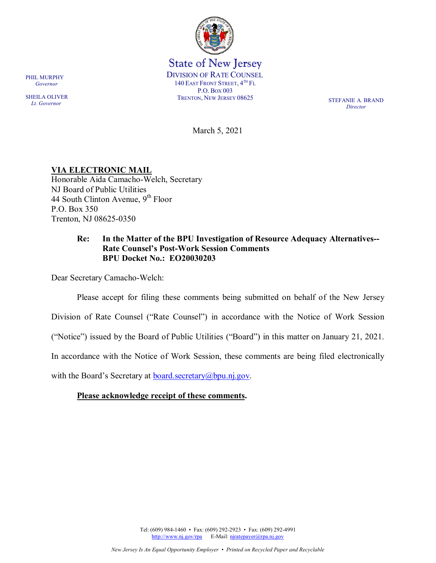

State of New Jersey DIVISION OF RATE COUNSEL 140 EAST FRONT STREET,  $4^{TH}$  FL P.O. BOX 003 TRENTON, NEW JERSEY 08625 STEFANIE A. BRAND

*Director*

March 5, 2021

**VIA ELECTRONIC MAIL** Honorable Aida Camacho-Welch, Secretary NJ Board of Public Utilities 44 South Clinton Avenue,  $9<sup>th</sup>$  Floor P.O. Box 350

# **Re: In the Matter of the BPU Investigation of Resource Adequacy Alternatives-- Rate Counsel's Post-Work Session Comments BPU Docket No.: EO20030203**

Dear Secretary Camacho-Welch:

Trenton, NJ 08625-0350

Please accept for filing these comments being submitted on behalf of the New Jersey

Division of Rate Counsel ("Rate Counsel") in accordance with the Notice of Work Session

("Notice") issued by the Board of Public Utilities ("Board") in this matter on January 21, 2021.

In accordance with the Notice of Work Session, these comments are being filed electronically

with the Board's Secretary at  $\frac{\text{board}\cdot\text{secretary}(a)\text{bpu}\cdot\text{n}$ , gov.

## **Please acknowledge receipt of these comments.**

Tel: (609) 984-1460 • Fax: (609) 292-2923 • Fax: (609) 292-4991 [http://www.nj.gov/rpa](http://www.state.nj.us/publicadvocate/utility) E-Mail: [njratepayer@rpa.nj.gov](mailto:njratepayer@rpa.nj.gov)

PHIL MURPHY  *Governor*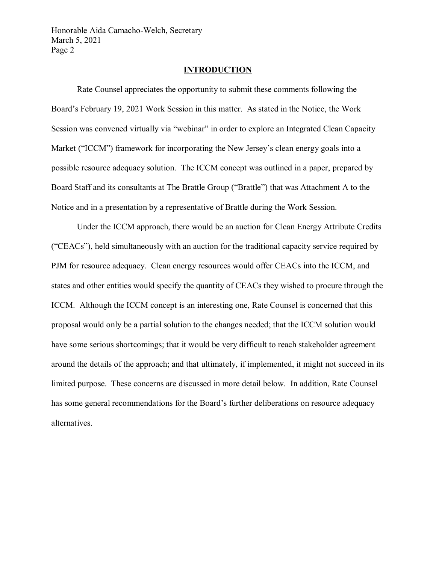### **INTRODUCTION**

Rate Counsel appreciates the opportunity to submit these comments following the Board's February 19, 2021 Work Session in this matter. As stated in the Notice, the Work Session was convened virtually via "webinar" in order to explore an Integrated Clean Capacity Market ("ICCM") framework for incorporating the New Jersey's clean energy goals into a possible resource adequacy solution. The ICCM concept was outlined in a paper, prepared by Board Staff and its consultants at The Brattle Group ("Brattle") that was Attachment A to the Notice and in a presentation by a representative of Brattle during the Work Session.

Under the ICCM approach, there would be an auction for Clean Energy Attribute Credits ("CEACs"), held simultaneously with an auction for the traditional capacity service required by PJM for resource adequacy. Clean energy resources would offer CEACs into the ICCM, and states and other entities would specify the quantity of CEACs they wished to procure through the ICCM. Although the ICCM concept is an interesting one, Rate Counsel is concerned that this proposal would only be a partial solution to the changes needed; that the ICCM solution would have some serious shortcomings; that it would be very difficult to reach stakeholder agreement around the details of the approach; and that ultimately, if implemented, it might not succeed in its limited purpose. These concerns are discussed in more detail below. In addition, Rate Counsel has some general recommendations for the Board's further deliberations on resource adequacy alternatives.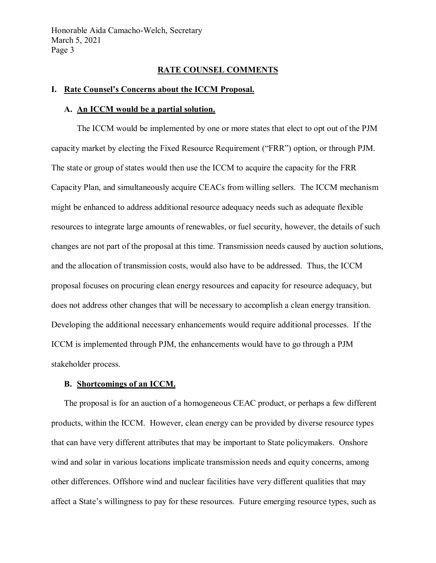### **RATE COUNSEL COMMENTS**

#### **I. Rate Counsel's Concerns about the ICCM Proposal.**

#### **A. An ICCM would be a partial solution.**

The ICCM would be implemented by one or more states that elect to opt out of the PJM capacity market by electing the Fixed Resource Requirement ("FRR") option, or through PJM. The state or group of states would then use the ICCM to acquire the capacity for the FRR Capacity Plan, and simultaneously acquire CEACs from willing sellers. The ICCM mechanism might be enhanced to address additional resource adequacy needs such as adequate flexible resources to integrate large amounts of renewables, or fuel security, however, the details of such changes are not part of the proposal at this time. Transmission needs caused by auction solutions, and the allocation of transmission costs, would also have to be addressed. Thus, the ICCM proposal focuses on procuring clean energy resources and capacity for resource adequacy, but does not address other changes that will be necessary to accomplish a clean energy transition. Developing the additional necessary enhancements would require additional processes. If the ICCM is implemented through PJM, the enhancements would have to go through a PJM stakeholder process.

## **B. Shortcomings of an ICCM.**

The proposal is for an auction of a homogeneous CEAC product, or perhaps a few different products, within the ICCM. However, clean energy can be provided by diverse resource types that can have very different attributes that may be important to State policymakers. Onshore wind and solar in various locations implicate transmission needs and equity concerns, among other differences. Offshore wind and nuclear facilities have very different qualities that may affect a State's willingness to pay for these resources. Future emerging resource types, such as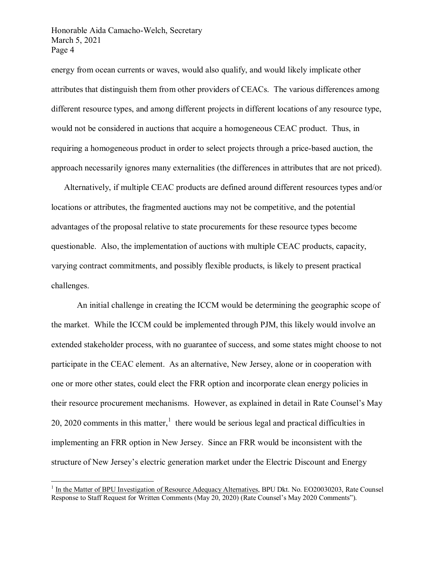energy from ocean currents or waves, would also qualify, and would likely implicate other attributes that distinguish them from other providers of CEACs. The various differences among different resource types, and among different projects in different locations of any resource type, would not be considered in auctions that acquire a homogeneous CEAC product. Thus, in requiring a homogeneous product in order to select projects through a price-based auction, the approach necessarily ignores many externalities (the differences in attributes that are not priced).

Alternatively, if multiple CEAC products are defined around different resources types and/or locations or attributes, the fragmented auctions may not be competitive, and the potential advantages of the proposal relative to state procurements for these resource types become questionable. Also, the implementation of auctions with multiple CEAC products, capacity, varying contract commitments, and possibly flexible products, is likely to present practical challenges.

An initial challenge in creating the ICCM would be determining the geographic scope of the market. While the ICCM could be implemented through PJM, this likely would involve an extended stakeholder process, with no guarantee of success, and some states might choose to not participate in the CEAC element. As an alternative, New Jersey, alone or in cooperation with one or more other states, could elect the FRR option and incorporate clean energy policies in their resource procurement mechanisms. However, as explained in detail in Rate Counsel's May 20, 2020 comments in this matter, $<sup>1</sup>$  $<sup>1</sup>$  $<sup>1</sup>$  there would be serious legal and practical difficulties in</sup> implementing an FRR option in New Jersey. Since an FRR would be inconsistent with the structure of New Jersey's electric generation market under the Electric Discount and Energy

<span id="page-3-0"></span> $1$  In the Matter of BPU Investigation of Resource Adequacy Alternatives, BPU Dkt. No. EO20030203, Rate Counsel Response to Staff Request for Written Comments (May 20, 2020) (Rate Counsel's May 2020 Comments").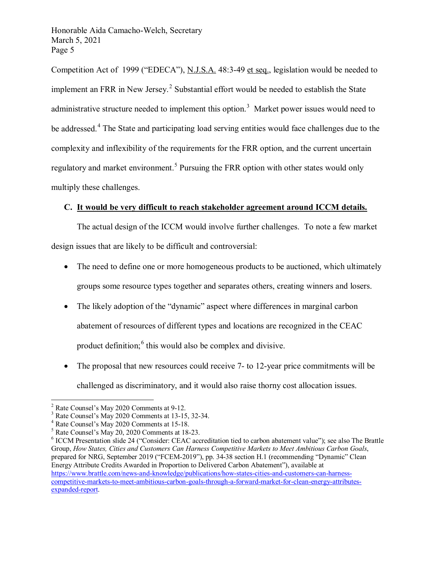Competition Act of 1999 ("EDECA"), N.J.S.A. 48:3-49 et seq., legislation would be needed to implement an FRR in New Jersey.<sup>[2](#page-4-0)</sup> Substantial effort would be needed to establish the State administrative structure needed to implement this option.<sup>[3](#page-4-1)</sup> Market power issues would need to be addressed.<sup>[4](#page-4-2)</sup> The State and participating load serving entities would face challenges due to the complexity and inflexibility of the requirements for the FRR option, and the current uncertain regulatory and market environment.<sup>[5](#page-4-3)</sup> Pursuing the FRR option with other states would only multiply these challenges.

# **C. It would be very difficult to reach stakeholder agreement around ICCM details.**

The actual design of the ICCM would involve further challenges. To note a few market design issues that are likely to be difficult and controversial:

- The need to define one or more homogeneous products to be auctioned, which ultimately groups some resource types together and separates others, creating winners and losers.
- The likely adoption of the "dynamic" aspect where differences in marginal carbon abatement of resources of different types and locations are recognized in the CEAC product definition; <sup>[6](#page-4-4)</sup> this would also be complex and divisive.
- The proposal that new resources could receive 7- to 12-year price commitments will be challenged as discriminatory, and it would also raise thorny cost allocation issues.

<span id="page-4-1"></span>

<span id="page-4-2"></span>

<span id="page-4-4"></span><span id="page-4-3"></span>

<span id="page-4-0"></span><sup>&</sup>lt;sup>2</sup> Rate Counsel's May 2020 Comments at 9-12.<br>
<sup>3</sup> Rate Counsel's May 2020 Comments at 13-15, 32-34.<br>
<sup>4</sup> Rate Counsel's May 2020 Comments at 15-18.<br>
<sup>5</sup> Rate Counsel's May 20, 2020 Comments at 18-23.<br>
<sup>6</sup> ICCM Presentati Group, *How States, Cities and Customers Can Harness Competitive Markets to Meet Ambitious Carbon Goals*, prepared for NRG, September 2019 ("FCEM-2019"), pp. 34-38 section H.1 (recommending "Dynamic" Clean Energy Attribute Credits Awarded in Proportion to Delivered Carbon Abatement"), available at [https://www.brattle.com/news-and-knowledge/publications/how-states-cities-and-customers-can-harness](https://www.brattle.com/news-and-knowledge/publications/how-states-cities-and-customers-can-harness-competitive-markets-to-meet-ambitious-carbon-goals-through-a-forward-market-for-clean-energy-attributes-expanded-report)[competitive-markets-to-meet-ambitious-carbon-goals-through-a-forward-market-for-clean-energy-attributes](https://www.brattle.com/news-and-knowledge/publications/how-states-cities-and-customers-can-harness-competitive-markets-to-meet-ambitious-carbon-goals-through-a-forward-market-for-clean-energy-attributes-expanded-report)[expanded-report.](https://www.brattle.com/news-and-knowledge/publications/how-states-cities-and-customers-can-harness-competitive-markets-to-meet-ambitious-carbon-goals-through-a-forward-market-for-clean-energy-attributes-expanded-report)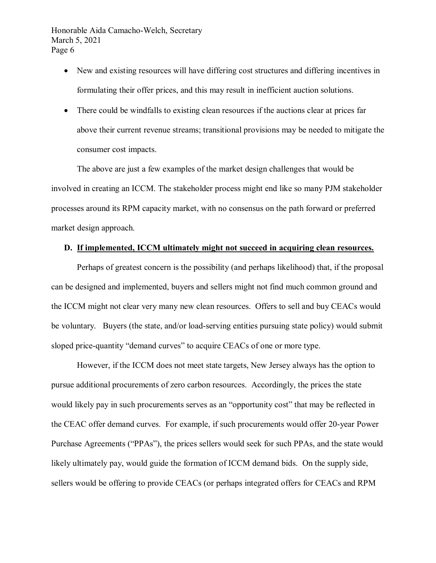- New and existing resources will have differing cost structures and differing incentives in formulating their offer prices, and this may result in inefficient auction solutions.
- There could be windfalls to existing clean resources if the auctions clear at prices far above their current revenue streams; transitional provisions may be needed to mitigate the consumer cost impacts.

The above are just a few examples of the market design challenges that would be involved in creating an ICCM. The stakeholder process might end like so many PJM stakeholder processes around its RPM capacity market, with no consensus on the path forward or preferred market design approach.

# **D. If implemented, ICCM ultimately might not succeed in acquiring clean resources.**

Perhaps of greatest concern is the possibility (and perhaps likelihood) that, if the proposal can be designed and implemented, buyers and sellers might not find much common ground and the ICCM might not clear very many new clean resources. Offers to sell and buy CEACs would be voluntary. Buyers (the state, and/or load-serving entities pursuing state policy) would submit sloped price-quantity "demand curves" to acquire CEACs of one or more type.

However, if the ICCM does not meet state targets, New Jersey always has the option to pursue additional procurements of zero carbon resources. Accordingly, the prices the state would likely pay in such procurements serves as an "opportunity cost" that may be reflected in the CEAC offer demand curves. For example, if such procurements would offer 20-year Power Purchase Agreements ("PPAs"), the prices sellers would seek for such PPAs, and the state would likely ultimately pay, would guide the formation of ICCM demand bids. On the supply side, sellers would be offering to provide CEACs (or perhaps integrated offers for CEACs and RPM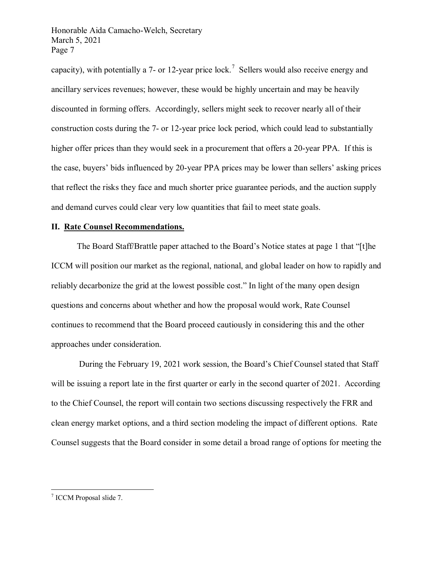capacity), with potentially a [7](#page-6-0)- or 12-year price lock.<sup>7</sup> Sellers would also receive energy and ancillary services revenues; however, these would be highly uncertain and may be heavily discounted in forming offers. Accordingly, sellers might seek to recover nearly all of their construction costs during the 7- or 12-year price lock period, which could lead to substantially higher offer prices than they would seek in a procurement that offers a 20-year PPA. If this is the case, buyers' bids influenced by 20-year PPA prices may be lower than sellers' asking prices that reflect the risks they face and much shorter price guarantee periods, and the auction supply and demand curves could clear very low quantities that fail to meet state goals.

## **II. Rate Counsel Recommendations.**

The Board Staff/Brattle paper attached to the Board's Notice states at page 1 that "[t]he ICCM will position our market as the regional, national, and global leader on how to rapidly and reliably decarbonize the grid at the lowest possible cost." In light of the many open design questions and concerns about whether and how the proposal would work, Rate Counsel continues to recommend that the Board proceed cautiously in considering this and the other approaches under consideration.

During the February 19, 2021 work session, the Board's Chief Counsel stated that Staff will be issuing a report late in the first quarter or early in the second quarter of 2021. According to the Chief Counsel, the report will contain two sections discussing respectively the FRR and clean energy market options, and a third section modeling the impact of different options. Rate Counsel suggests that the Board consider in some detail a broad range of options for meeting the

<span id="page-6-0"></span> <sup>7</sup> ICCM Proposal slide 7.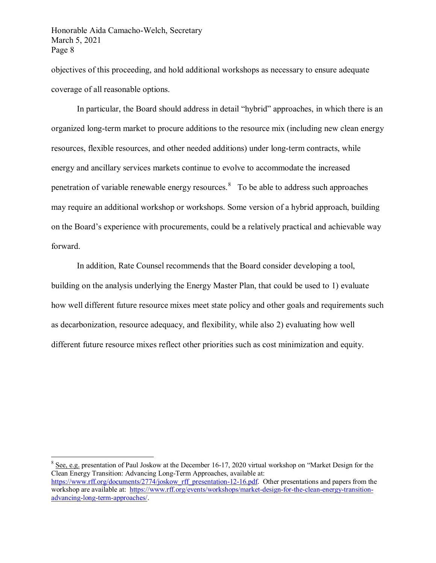objectives of this proceeding, and hold additional workshops as necessary to ensure adequate coverage of all reasonable options.

In particular, the Board should address in detail "hybrid" approaches, in which there is an organized long-term market to procure additions to the resource mix (including new clean energy resources, flexible resources, and other needed additions) under long-term contracts, while energy and ancillary services markets continue to evolve to accommodate the increased penetration of variable renewable energy resources.<sup>[8](#page-7-0)</sup> To be able to address such approaches may require an additional workshop or workshops. Some version of a hybrid approach, building on the Board's experience with procurements, could be a relatively practical and achievable way forward.

In addition, Rate Counsel recommends that the Board consider developing a tool, building on the analysis underlying the Energy Master Plan, that could be used to 1) evaluate how well different future resource mixes meet state policy and other goals and requirements such as decarbonization, resource adequacy, and flexibility, while also 2) evaluating how well different future resource mixes reflect other priorities such as cost minimization and equity.

<span id="page-7-0"></span> $8$  See, e.g. presentation of Paul Joskow at the December 16-17, 2020 virtual workshop on "Market Design for the Clean Energy Transition: Advancing Long-Term Approaches, available at: [https://www.rff.org/documents/2774/joskow\\_rff\\_presentation-12-16.pdf.](https://urldefense.com/v3/__https:/www.rff.org/documents/2774/joskow_rff_presentation-12-16.pdf__;!!J30X0ZrnC1oQtbA!b16Xk1iSnUjyQQCA-QJuI7YQrj81CkIggC_Gd1bs_j3oe9pOP6zzIjvGbw7_fLnViA$) Other presentations and papers from the workshop are available at: [https://www.rff.org/events/workshops/market-design-for-the-clean-energy-transition](https://www.rff.org/events/workshops/market-design-for-the-clean-energy-transition-advancing-long-term-approaches/)[advancing-long-term-approaches/.](https://www.rff.org/events/workshops/market-design-for-the-clean-energy-transition-advancing-long-term-approaches/)